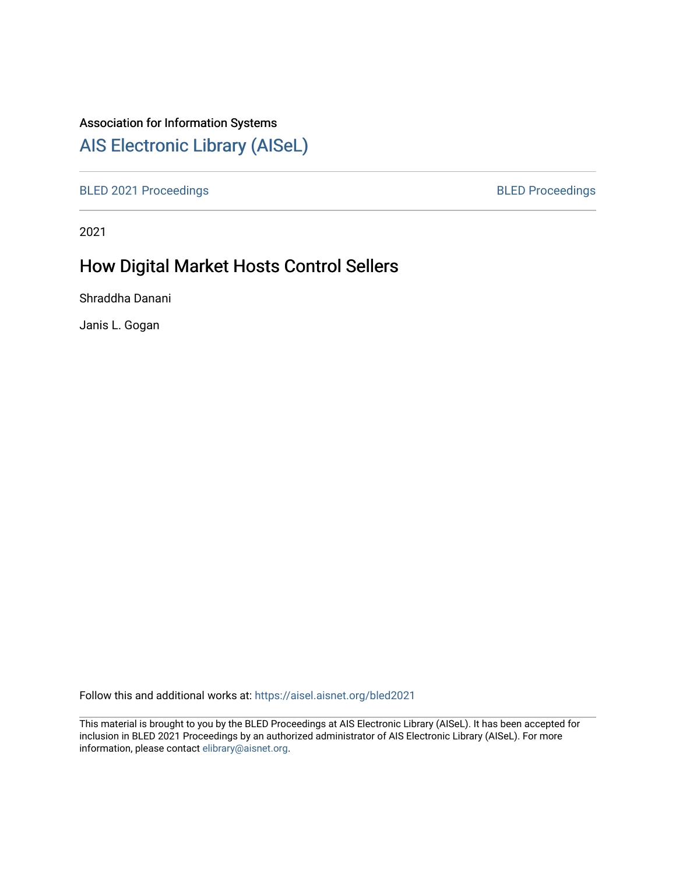## Association for Information Systems

# [AIS Electronic Library \(AISeL\)](https://aisel.aisnet.org/)

[BLED 2021 Proceedings](https://aisel.aisnet.org/bled2021) **BLED Proceedings** 

2021

# How Digital Market Hosts Control Sellers

Shraddha Danani

Janis L. Gogan

Follow this and additional works at: [https://aisel.aisnet.org/bled2021](https://aisel.aisnet.org/bled2021?utm_source=aisel.aisnet.org%2Fbled2021%2F3&utm_medium=PDF&utm_campaign=PDFCoverPages) 

This material is brought to you by the BLED Proceedings at AIS Electronic Library (AISeL). It has been accepted for inclusion in BLED 2021 Proceedings by an authorized administrator of AIS Electronic Library (AISeL). For more information, please contact [elibrary@aisnet.org.](mailto:elibrary@aisnet.org%3E)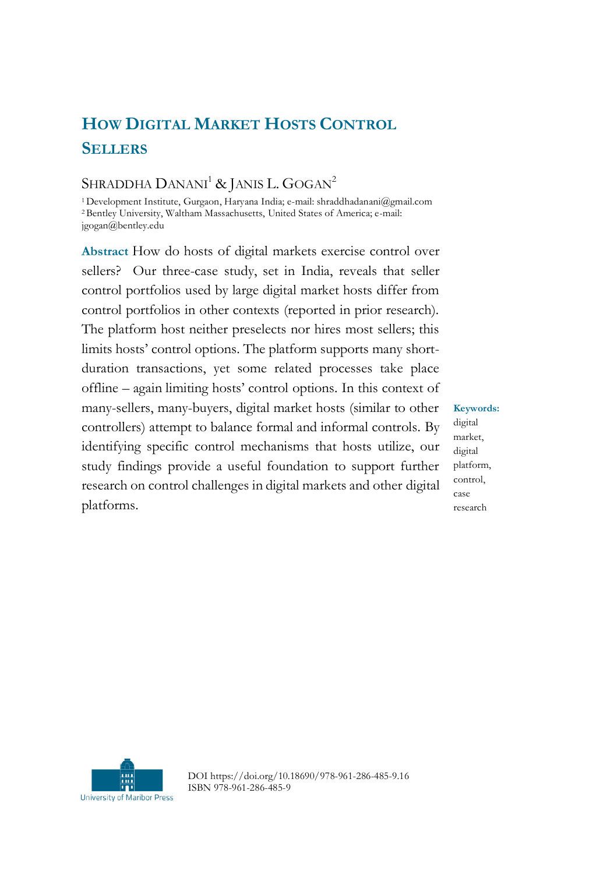# **HOW DIGITAL MARKET HOSTS CONTROL SELLERS**

## SHRADDHA DANANI<sup>1</sup> & JANIS L. GOGAN<sup>2</sup>

<sup>1</sup>Development Institute, Gurgaon, Haryana India; e-mail: shraddhadanani@gmail.com <sup>2</sup>Bentley University, Waltham Massachusetts, United States of America; e-mail: jgogan@bentley.edu

**Abstract** How do hosts of digital markets exercise control over sellers? Our three-case study, set in India, reveals that seller control portfolios used by large digital market hosts differ from control portfolios in other contexts (reported in prior research). The platform host neither preselects nor hires most sellers; this limits hosts' control options. The platform supports many shortduration transactions, yet some related processes take place offline – again limiting hosts' control options. In this context of many-sellers, many-buyers, digital market hosts (similar to other controllers) attempt to balance formal and informal controls. By identifying specific control mechanisms that hosts utilize, our study findings provide a useful foundation to support further research on control challenges in digital markets and other digital platforms.

**Keywords:** digital market, digital platform, control, case research



DOI https://doi.org/10.18690/978-961-286-485-9.16 ISBN 978-961-286-485-9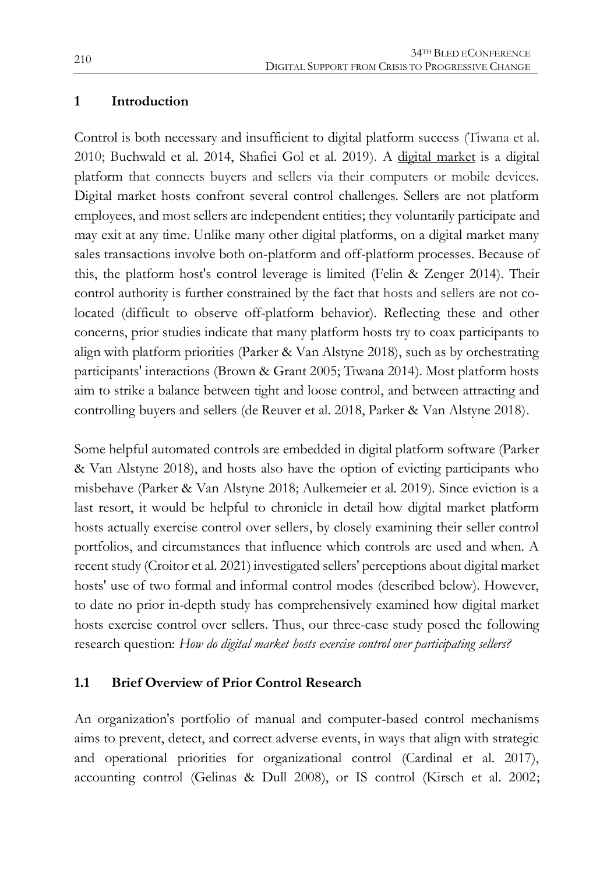#### **1 Introduction**

Control is both necessary and insufficient to digital platform success (Tiwana et al. 2010; Buchwald et al. 2014, Shafiei Gol et al. 2019). A digital market is a digital platform that connects buyers and sellers via their computers or mobile devices. Digital market hosts confront several control challenges. Sellers are not platform employees, and most sellers are independent entities; they voluntarily participate and may exit at any time. Unlike many other digital platforms, on a digital market many sales transactions involve both on-platform and off-platform processes. Because of this, the platform host's control leverage is limited (Felin & Zenger 2014). Their control authority is further constrained by the fact that hosts and sellers are not colocated (difficult to observe off-platform behavior). Reflecting these and other concerns, prior studies indicate that many platform hosts try to coax participants to align with platform priorities (Parker & Van Alstyne 2018), such as by orchestrating participants' interactions (Brown & Grant 2005; Tiwana 2014). Most platform hosts aim to strike a balance between tight and loose control, and between attracting and controlling buyers and sellers (de Reuver et al. 2018, Parker & Van Alstyne 2018).

Some helpful automated controls are embedded in digital platform software (Parker & Van Alstyne 2018), and hosts also have the option of evicting participants who misbehave (Parker & Van Alstyne 2018; Aulkemeier et al. 2019). Since eviction is a last resort, it would be helpful to chronicle in detail how digital market platform hosts actually exercise control over sellers, by closely examining their seller control portfolios, and circumstances that influence which controls are used and when. A recent study (Croitor et al. 2021) investigated sellers' perceptions about digital market hosts' use of two formal and informal control modes (described below). However, to date no prior in-depth study has comprehensively examined how digital market hosts exercise control over sellers. Thus, our three-case study posed the following research question: *How do digital market hosts exercise control over participating sellers?*

#### **1.1 Brief Overview of Prior Control Research**

An organization's portfolio of manual and computer-based control mechanisms aims to prevent, detect, and correct adverse events, in ways that align with strategic and operational priorities for organizational control (Cardinal et al. 2017), accounting control (Gelinas & Dull 2008), or IS control (Kirsch et al. 2002;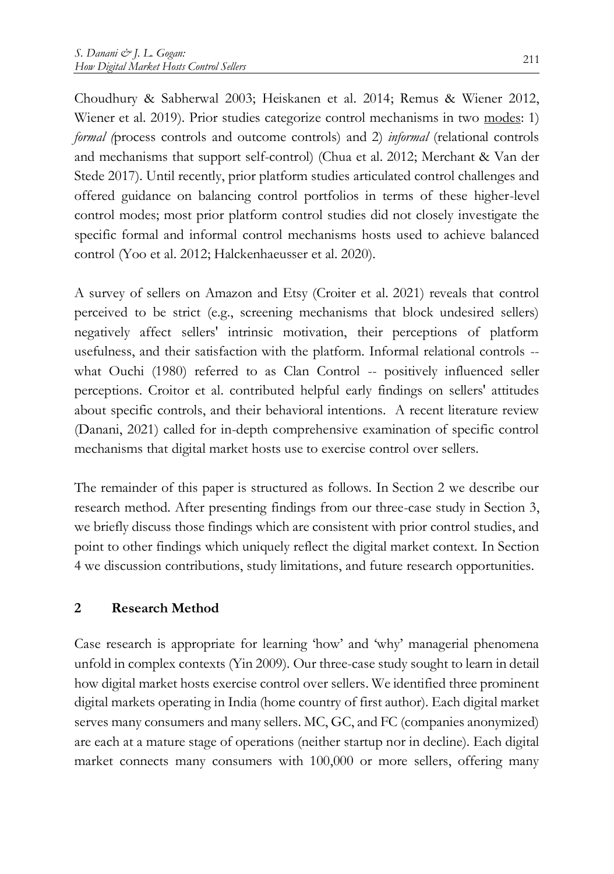Choudhury & Sabherwal 2003; Heiskanen et al. 2014; Remus & Wiener 2012, Wiener et al. 2019). Prior studies categorize control mechanisms in two modes: 1) *formal (*process controls and outcome controls) and 2) *informal* (relational controls and mechanisms that support self-control) (Chua et al. 2012; Merchant & Van der Stede 2017). Until recently, prior platform studies articulated control challenges and offered guidance on balancing control portfolios in terms of these higher-level control modes; most prior platform control studies did not closely investigate the specific formal and informal control mechanisms hosts used to achieve balanced control (Yoo et al. 2012; Halckenhaeusser et al. 2020).

A survey of sellers on Amazon and Etsy (Croiter et al. 2021) reveals that control perceived to be strict (e.g., screening mechanisms that block undesired sellers) negatively affect sellers' intrinsic motivation, their perceptions of platform usefulness, and their satisfaction with the platform. Informal relational controls - what Ouchi (1980) referred to as Clan Control -- positively influenced seller perceptions. Croitor et al. contributed helpful early findings on sellers' attitudes about specific controls, and their behavioral intentions. A recent literature review (Danani, 2021) called for in-depth comprehensive examination of specific control mechanisms that digital market hosts use to exercise control over sellers.

The remainder of this paper is structured as follows. In Section 2 we describe our research method. After presenting findings from our three-case study in Section 3, we briefly discuss those findings which are consistent with prior control studies, and point to other findings which uniquely reflect the digital market context. In Section 4 we discussion contributions, study limitations, and future research opportunities.

#### **2 Research Method**

Case research is appropriate for learning 'how' and 'why' managerial phenomena unfold in complex contexts (Yin 2009). Our three-case study sought to learn in detail how digital market hosts exercise control over sellers. We identified three prominent digital markets operating in India (home country of first author). Each digital market serves many consumers and many sellers. MC, GC, and FC (companies anonymized) are each at a mature stage of operations (neither startup nor in decline). Each digital market connects many consumers with 100,000 or more sellers, offering many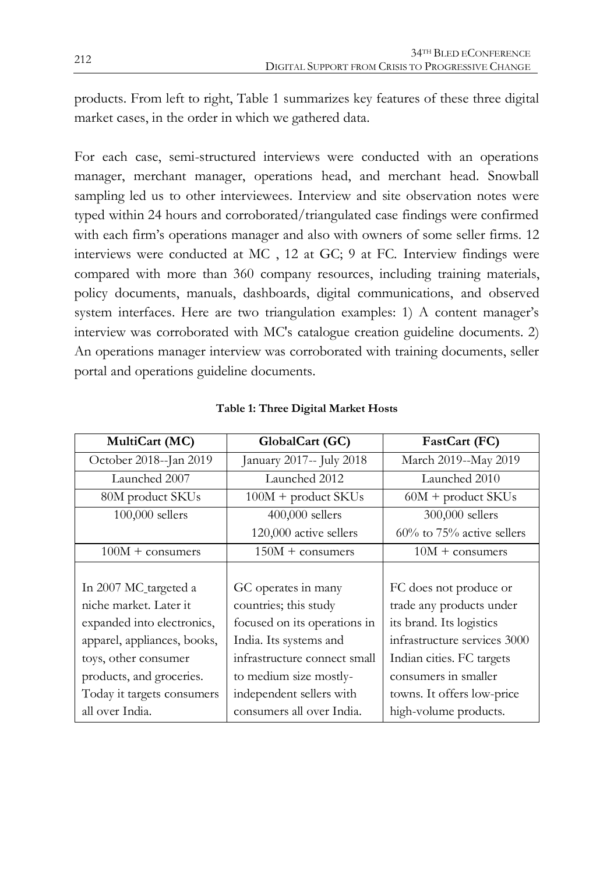products. From left to right, Table 1 summarizes key features of these three digital market cases, in the order in which we gathered data.

For each case, semi-structured interviews were conducted with an operations manager, merchant manager, operations head, and merchant head. Snowball sampling led us to other interviewees. Interview and site observation notes were typed within 24 hours and corroborated/triangulated case findings were confirmed with each firm's operations manager and also with owners of some seller firms. 12 interviews were conducted at MC , 12 at GC; 9 at FC. Interview findings were compared with more than 360 company resources, including training materials, policy documents, manuals, dashboards, digital communications, and observed system interfaces. Here are two triangulation examples: 1) A content manager's interview was corroborated with MC's catalogue creation guideline documents. 2) An operations manager interview was corroborated with training documents, seller portal and operations guideline documents.

| MultiCart (MC)              | GlobalCart (GC)              | FastCart (FC)                |  |
|-----------------------------|------------------------------|------------------------------|--|
| October 2018--Jan 2019      | January 2017-- July 2018     | March 2019--May 2019         |  |
| Launched 2007               | Launched 2012                | Launched 2010                |  |
| 80M product SKUs            | $100M +$ product SKUs        | $60M +$ product SKUs         |  |
| 100,000 sellers             | $400,000$ sellers            | 300,000 sellers              |  |
|                             | 120,000 active sellers       | $60\%$ to 75% active sellers |  |
| $100M + \text{consumers}$   | $150M + \text{consumers}$    | $10M + \text{consumers}$     |  |
|                             |                              |                              |  |
| In 2007 MC targeted a       | GC operates in many          | FC does not produce or       |  |
| niche market. Later it      | countries; this study        | trade any products under     |  |
| expanded into electronics,  | focused on its operations in | its brand. Its logistics     |  |
| apparel, appliances, books, | India. Its systems and       | infrastructure services 3000 |  |
| toys, other consumer        | infrastructure connect small | Indian cities. FC targets    |  |
| products, and groceries.    | to medium size mostly-       | consumers in smaller         |  |
| Today it targets consumers  | independent sellers with     | towns. It offers low-price   |  |
| all over India.             | consumers all over India.    | high-volume products.        |  |

#### **Table 1: Three Digital Market Hosts**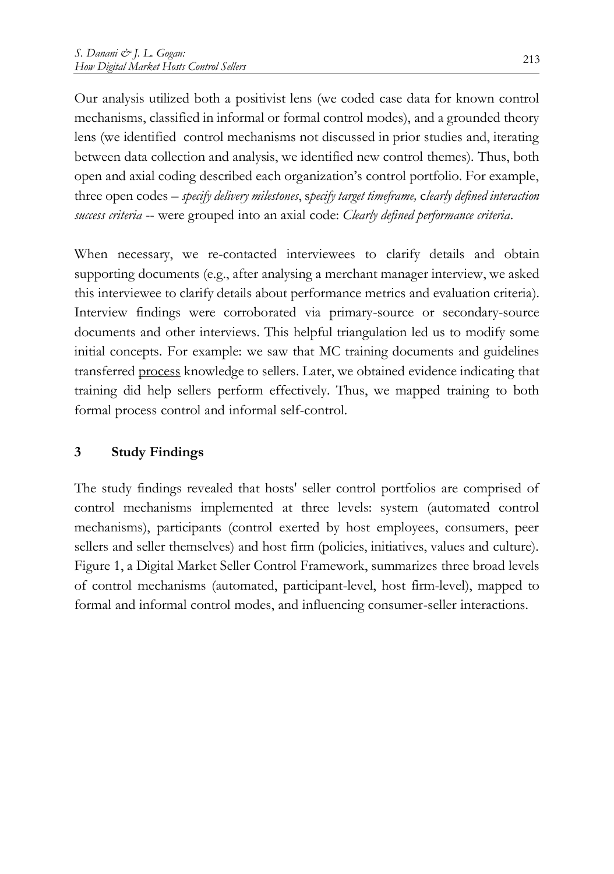Our analysis utilized both a positivist lens (we coded case data for known control mechanisms, classified in informal or formal control modes), and a grounded theory lens (we identified control mechanisms not discussed in prior studies and, iterating between data collection and analysis, we identified new control themes). Thus, both open and axial coding described each organization's control portfolio. For example, three open codes – *specify delivery milestones*, s*pecify target timeframe,* c*learly defined interaction success criteria* -- were grouped into an axial code: *Clearly defined performance criteria*.

When necessary, we re-contacted interviewees to clarify details and obtain supporting documents (e.g., after analysing a merchant manager interview, we asked this interviewee to clarify details about performance metrics and evaluation criteria). Interview findings were corroborated via primary-source or secondary-source documents and other interviews. This helpful triangulation led us to modify some initial concepts. For example: we saw that MC training documents and guidelines transferred process knowledge to sellers. Later, we obtained evidence indicating that training did help sellers perform effectively. Thus, we mapped training to both formal process control and informal self-control.

### **3 Study Findings**

The study findings revealed that hosts' seller control portfolios are comprised of control mechanisms implemented at three levels: system (automated control mechanisms), participants (control exerted by host employees, consumers, peer sellers and seller themselves) and host firm (policies, initiatives, values and culture). Figure 1, a Digital Market Seller Control Framework, summarizes three broad levels of control mechanisms (automated, participant-level, host firm-level), mapped to formal and informal control modes, and influencing consumer-seller interactions.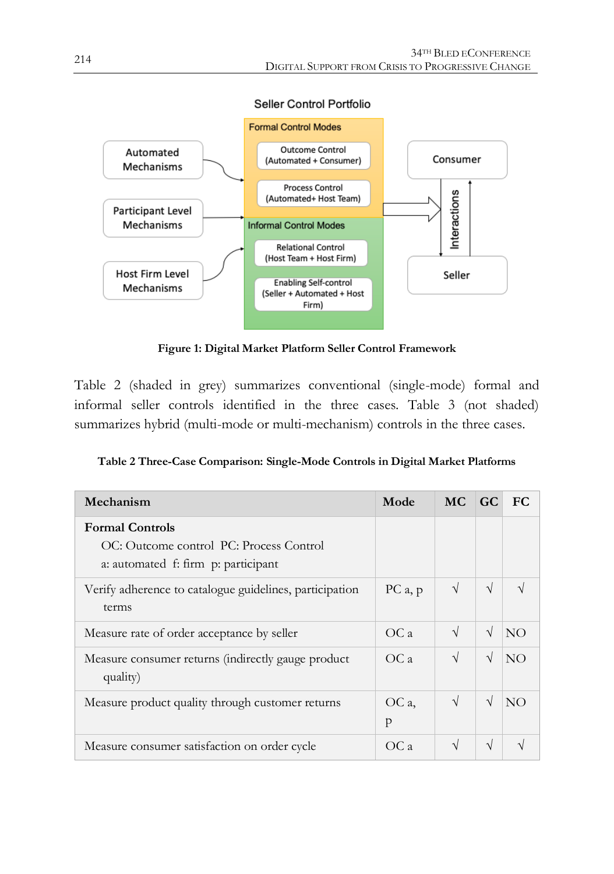



**Figure 1: Digital Market Platform Seller Control Framework**

Table 2 (shaded in grey) summarizes conventional (single-mode) formal and informal seller controls identified in the three cases. Table 3 (not shaded) summarizes hybrid (multi-mode or multi-mechanism) controls in the three cases.

| Table 2 Three-Case Comparison: Single-Mode Controls in Digital Market Platforms |  |  |  |
|---------------------------------------------------------------------------------|--|--|--|
|---------------------------------------------------------------------------------|--|--|--|

| Mechanism                                                                                                | Mode       | MC.        | $\overline{G}C$ | <b>FC</b> |
|----------------------------------------------------------------------------------------------------------|------------|------------|-----------------|-----------|
| <b>Formal Controls</b><br>OC: Outcome control PC: Process Control<br>a: automated f: firm p: participant |            |            |                 |           |
| Verify adherence to catalogue guidelines, participation<br>terms                                         | PCa, p     | $\sqrt{}$  | $\sqrt{ }$      | N         |
| Measure rate of order acceptance by seller                                                               | OCa        | $\sqrt{ }$ | $\sqrt{ }$      | NO.       |
| Measure consumer returns (indirectly gauge product<br>quality)                                           | OCa        | $\sqrt{}$  | $\sqrt{ }$      | NO        |
| Measure product quality through customer returns                                                         | OC a,<br>p | $\sqrt{ }$ | $\sqrt{ }$      | NO        |
| Measure consumer satisfaction on order cycle                                                             | OC a       | N          | V               |           |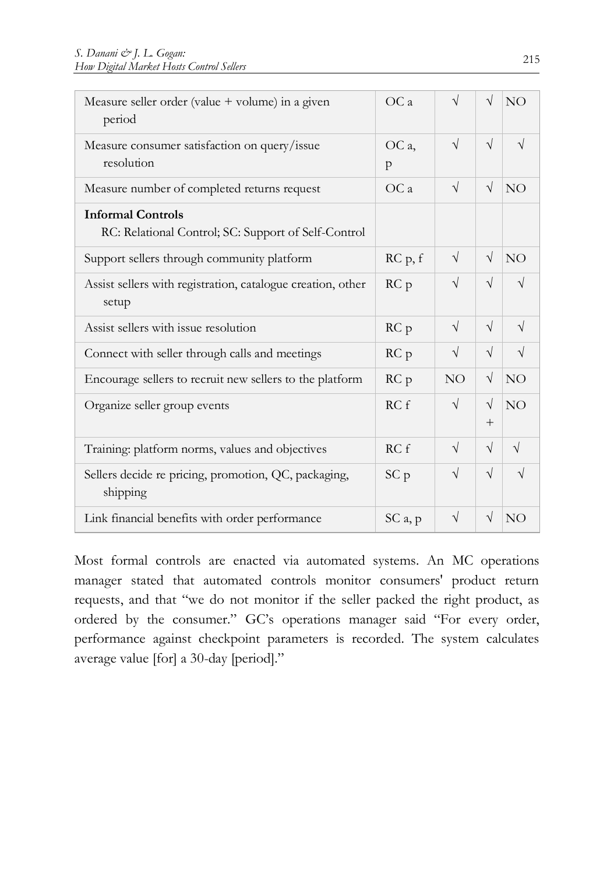| Measure seller order (value + volume) in a given<br>period                      | OCa                 | $\sqrt{}$       | $\sqrt{}$         | NO              |
|---------------------------------------------------------------------------------|---------------------|-----------------|-------------------|-----------------|
| Measure consumer satisfaction on query/issue<br>resolution                      | OC a.<br>p          | $\sqrt{}$       | $\sqrt{}$         | $\sqrt{ }$      |
| Measure number of completed returns request                                     | OCa                 | $\sqrt{}$       | $\sqrt{ }$        | NO <sub>1</sub> |
| <b>Informal Controls</b><br>RC: Relational Control; SC: Support of Self-Control |                     |                 |                   |                 |
| Support sellers through community platform                                      | RC p, f             | $\sqrt{}$       | $\sqrt{}$         | NO              |
| Assist sellers with registration, catalogue creation, other<br>setup            | RC <sub>p</sub>     | $\sqrt{}$       | $\sqrt{}$         | J               |
| Assist sellers with issue resolution                                            | RC <sub>p</sub>     | $\sqrt{}$       | $\sqrt{}$         | $\sqrt{ }$      |
| Connect with seller through calls and meetings                                  | RC <sub>p</sub>     | $\sqrt{}$       | $\sqrt{}$         | $\sqrt{}$       |
| Encourage sellers to recruit new sellers to the platform                        | RC p                | NO <sub>1</sub> | $\sqrt{}$         | NO <sub>1</sub> |
| Organize seller group events                                                    | RCf                 | $\sqrt{}$       | $\sqrt{}$<br>$^+$ | NO              |
| Training: platform norms, values and objectives                                 | RCf                 | $\sqrt{}$       | $\sqrt{ }$        | $\sqrt{ }$      |
| Sellers decide re pricing, promotion, QC, packaging,<br>shipping                | SC <sub>p</sub>     | $\sqrt{}$       | $\sqrt{}$         | J               |
| Link financial benefits with order performance                                  | SC <sub>a</sub> , p | $\sqrt{}$       | $\sqrt{}$         | NO <sub>1</sub> |

Most formal controls are enacted via automated systems. An MC operations manager stated that automated controls monitor consumers' product return requests, and that "we do not monitor if the seller packed the right product, as ordered by the consumer." GC's operations manager said "For every order, performance against checkpoint parameters is recorded. The system calculates average value [for] a 30-day [period]."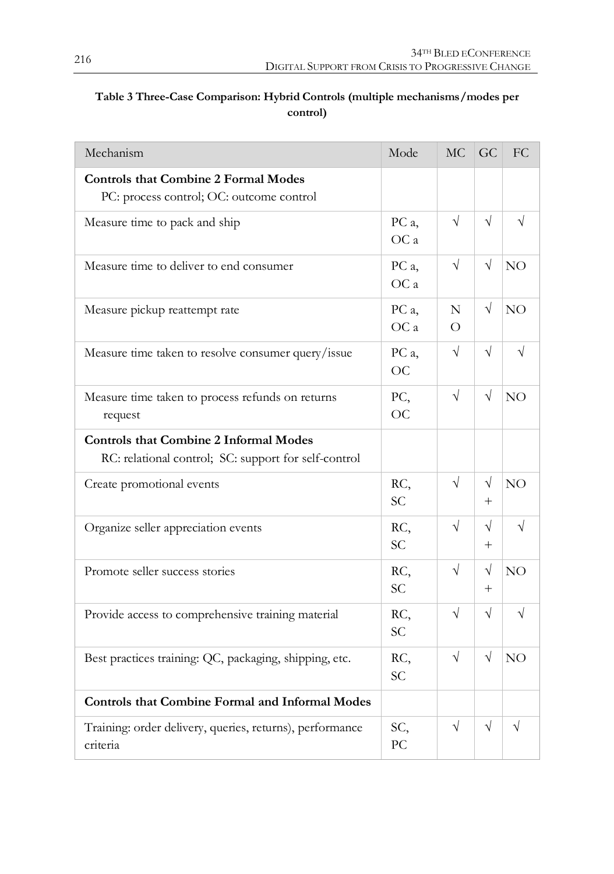| Mechanism                                                                                             | Mode                         | <b>MC</b>     | GC                   | FC              |
|-------------------------------------------------------------------------------------------------------|------------------------------|---------------|----------------------|-----------------|
| <b>Controls that Combine 2 Formal Modes</b><br>PC: process control; OC: outcome control               |                              |               |                      |                 |
| Measure time to pack and ship                                                                         | PC <sub>a</sub> ,<br>OC a    | $\sqrt{ }$    | $\sqrt{ }$           | V               |
| Measure time to deliver to end consumer                                                               | PC a,<br>OC a                | $\sqrt{}$     | $\sqrt{}$            | NO              |
| Measure pickup reattempt rate                                                                         | PC <sub>a</sub><br>OC a      | N<br>$\Omega$ | $\sqrt{}$            | NO <sub>1</sub> |
| Measure time taken to resolve consumer query/issue                                                    | PC <sub>a</sub><br><b>OC</b> | $\sqrt{ }$    | $\sqrt{}$            | V               |
| Measure time taken to process refunds on returns<br>request                                           | PC,<br>OC                    | $\sqrt{}$     | $\sqrt{ }$           | NO              |
| <b>Controls that Combine 2 Informal Modes</b><br>RC: relational control; SC: support for self-control |                              |               |                      |                 |
| Create promotional events                                                                             | RC,<br><b>SC</b>             | $\sqrt{}$     | $\sqrt{}$<br>$^{+}$  | NO              |
| Organize seller appreciation events                                                                   | RC,<br><b>SC</b>             | $\sqrt{ }$    | $\sqrt{ }$<br>$^{+}$ | $\sqrt{}$       |
| Promote seller success stories                                                                        | RC,<br>SC.                   | $\sqrt{ }$    | $\sqrt{ }$<br>$^{+}$ | NO <sub></sub>  |
| Provide access to comprehensive training material                                                     | RC,<br><b>SC</b>             | $\sqrt{2}$    | $\sqrt{}$            | $\sqrt{}$       |
| Best practices training: QC, packaging, shipping, etc.                                                | RC.<br><b>SC</b>             | $\sqrt{}$     | $\sqrt{}$            | NO <sub></sub>  |
| <b>Controls that Combine Formal and Informal Modes</b>                                                |                              |               |                      |                 |
| Training: order delivery, queries, returns), performance<br>criteria                                  | SC,<br>PC.                   | $\sqrt{ }$    | $\sqrt{}$            | $\sqrt{}$       |

#### **Table 3 Three-Case Comparison: Hybrid Controls (multiple mechanisms/modes per control)**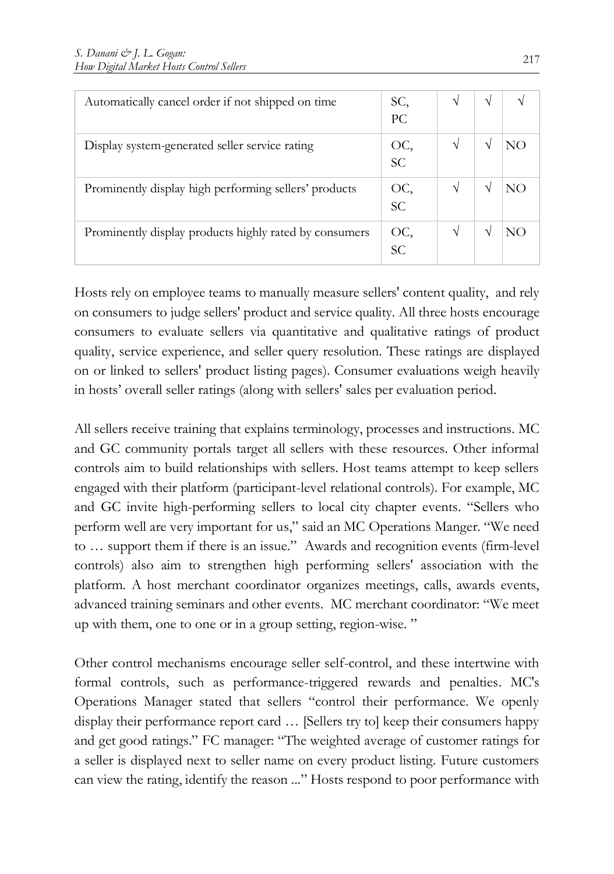| Automatically cancel order if not shipped on time      | SC,              | V |  |
|--------------------------------------------------------|------------------|---|--|
|                                                        | PC.              |   |  |
| Display system-generated seller service rating         | OC,<br>SC.       |   |  |
| Prominently display high performing sellers' products  | OC,<br><b>SC</b> |   |  |
| Prominently display products highly rated by consumers | OC,<br><b>SC</b> |   |  |

Hosts rely on employee teams to manually measure sellers' content quality, and rely on consumers to judge sellers' product and service quality. All three hosts encourage consumers to evaluate sellers via quantitative and qualitative ratings of product quality, service experience, and seller query resolution. These ratings are displayed on or linked to sellers' product listing pages). Consumer evaluations weigh heavily in hosts' overall seller ratings (along with sellers' sales per evaluation period.

All sellers receive training that explains terminology, processes and instructions. MC and GC community portals target all sellers with these resources. Other informal controls aim to build relationships with sellers. Host teams attempt to keep sellers engaged with their platform (participant-level relational controls). For example, MC and GC invite high-performing sellers to local city chapter events. "Sellers who perform well are very important for us," said an MC Operations Manger. "We need to … support them if there is an issue." Awards and recognition events (firm-level controls) also aim to strengthen high performing sellers' association with the platform. A host merchant coordinator organizes meetings, calls, awards events, advanced training seminars and other events. MC merchant coordinator: "We meet up with them, one to one or in a group setting, region-wise. "

Other control mechanisms encourage seller self-control, and these intertwine with formal controls, such as performance-triggered rewards and penalties. MC's Operations Manager stated that sellers "control their performance. We openly display their performance report card … [Sellers try to] keep their consumers happy and get good ratings." FC manager: "The weighted average of customer ratings for a seller is displayed next to seller name on every product listing. Future customers can view the rating, identify the reason ..." Hosts respond to poor performance with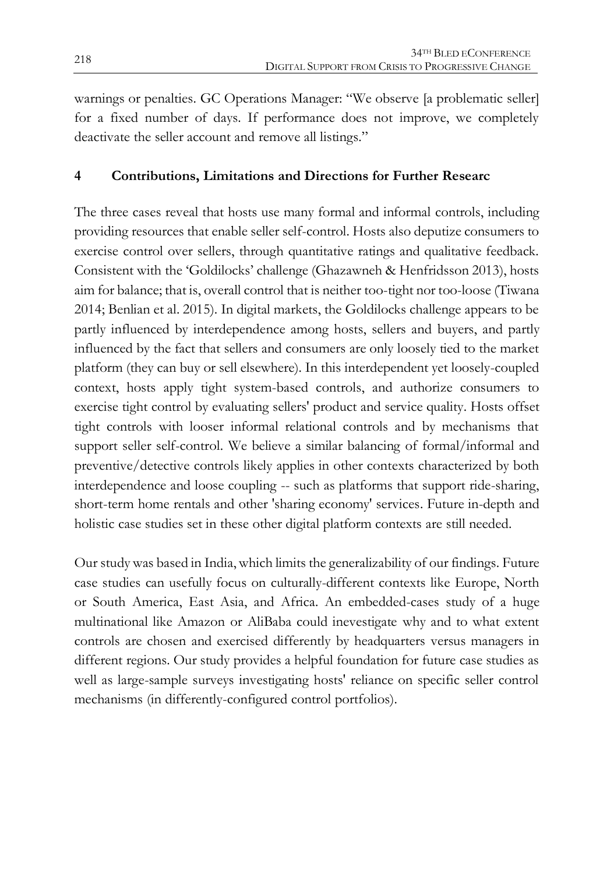warnings or penalties. GC Operations Manager: "We observe [a problematic seller] for a fixed number of days. If performance does not improve, we completely deactivate the seller account and remove all listings."

#### **4 Contributions, Limitations and Directions for Further Researc**

The three cases reveal that hosts use many formal and informal controls, including providing resources that enable seller self-control. Hosts also deputize consumers to exercise control over sellers, through quantitative ratings and qualitative feedback. Consistent with the 'Goldilocks' challenge (Ghazawneh & Henfridsson 2013), hosts aim for balance; that is, overall control that is neither too-tight nor too-loose (Tiwana 2014; Benlian et al. 2015). In digital markets, the Goldilocks challenge appears to be partly influenced by interdependence among hosts, sellers and buyers, and partly influenced by the fact that sellers and consumers are only loosely tied to the market platform (they can buy or sell elsewhere). In this interdependent yet loosely-coupled context, hosts apply tight system-based controls, and authorize consumers to exercise tight control by evaluating sellers' product and service quality. Hosts offset tight controls with looser informal relational controls and by mechanisms that support seller self-control. We believe a similar balancing of formal/informal and preventive/detective controls likely applies in other contexts characterized by both interdependence and loose coupling -- such as platforms that support ride-sharing, short-term home rentals and other 'sharing economy' services. Future in-depth and holistic case studies set in these other digital platform contexts are still needed.

Our study was based in India, which limits the generalizability of our findings. Future case studies can usefully focus on culturally-different contexts like Europe, North or South America, East Asia, and Africa. An embedded-cases study of a huge multinational like Amazon or AliBaba could inevestigate why and to what extent controls are chosen and exercised differently by headquarters versus managers in different regions. Our study provides a helpful foundation for future case studies as well as large-sample surveys investigating hosts' reliance on specific seller control mechanisms (in differently-configured control portfolios).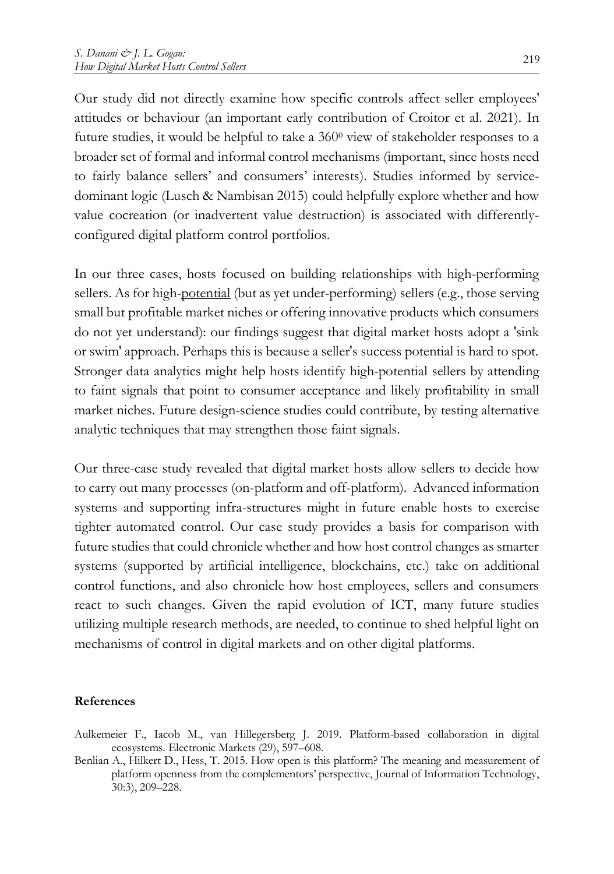Our study did not directly examine how specific controls affect seller employees' attitudes or behaviour (an important early contribution of Croitor et al. 2021). In future studies, it would be helpful to take a 360<sup>0</sup> view of stakeholder responses to a broader set of formal and informal control mechanisms (important, since hosts need to fairly balance sellers' and consumers' interests). Studies informed by servicedominant logic (Lusch & Nambisan 2015) could helpfully explore whether and how value cocreation (or inadvertent value destruction) is associated with differentlyconfigured digital platform control portfolios.

In our three cases, hosts focused on building relationships with high-performing sellers. As for high-potential (but as yet under-performing) sellers (e.g., those serving small but profitable market niches or offering innovative products which consumers do not yet understand): our findings suggest that digital market hosts adopt a 'sink or swim' approach. Perhaps this is because a seller's success potential is hard to spot. Stronger data analytics might help hosts identify high-potential sellers by attending to faint signals that point to consumer acceptance and likely profitability in small market niches. Future design-science studies could contribute, by testing alternative analytic techniques that may strengthen those faint signals.

Our three-case study revealed that digital market hosts allow sellers to decide how to carry out many processes (on-platform and off-platform). Advanced information systems and supporting infra-structures might in future enable hosts to exercise tighter automated control. Our case study provides a basis for comparison with future studies that could chronicle whether and how host control changes as smarter systems (supported by artificial intelligence, blockchains, etc.) take on additional control functions, and also chronicle how host employees, sellers and consumers react to such changes. Given the rapid evolution of ICT, many future studies utilizing multiple research methods, are needed, to continue to shed helpful light on mechanisms of control in digital markets and on other digital platforms.

#### **References**

- Aulkemeier F., Iacob M., van Hillegersberg J. 2019. Platform-based collaboration in digital ecosystems. Electronic Markets (29), 597–608.
- Benlian A., Hilkert D., Hess, T. 2015. How open is this platform? The meaning and measurement of platform openness from the complementors' perspective, Journal of Information Technology, 30:3), 209–228.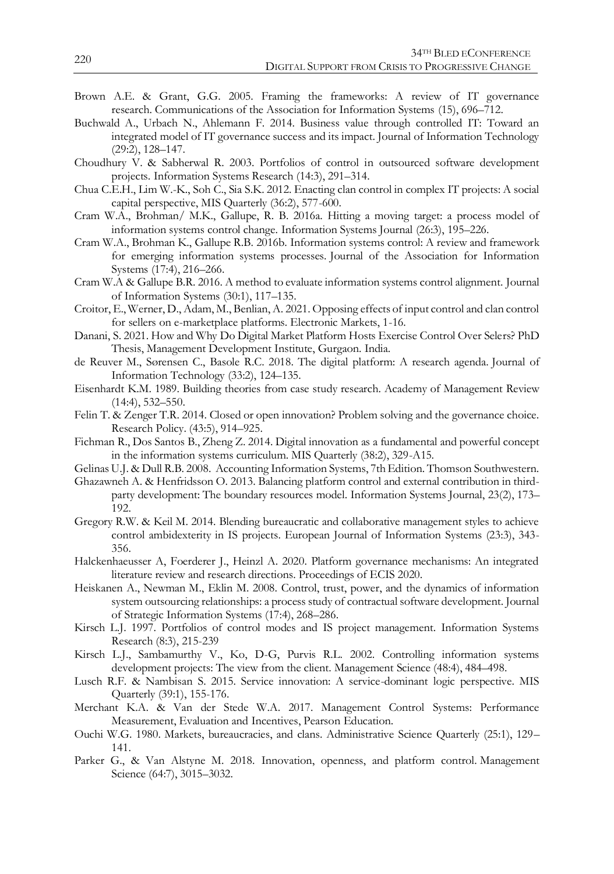- Brown A.E. & Grant, G.G. 2005. Framing the frameworks: A review of IT governance research. Communications of the Association for Information Systems (15), 696–712.
- Buchwald A., Urbach N., Ahlemann F. 2014. Business value through controlled IT: Toward an integrated model of IT governance success and its impact. Journal of Information Technology (29:2), 128–147.
- Choudhury V. & Sabherwal R. 2003. Portfolios of control in outsourced software development projects. Information Systems Research (14:3), 291–314.
- Chua C.E.H., Lim W.-K., Soh C., Sia S.K. 2012. Enacting clan control in complex IT projects: A social capital perspective, MIS Quarterly (36:2), 577-600.
- Cram W.A., Brohman/ M.K., Gallupe, R. B. 2016a. Hitting a moving target: a process model of information systems control change. Information Systems Journal (26:3), 195–226.
- Cram W.A., Brohman K., Gallupe R.B. 2016b. Information systems control: A review and framework for emerging information systems processes. Journal of the Association for Information Systems (17:4), 216–266.
- Cram W.A & Gallupe B.R. 2016. A method to evaluate information systems control alignment. Journal of Information Systems (30:1), 117–135.
- Croitor, E., Werner, D., Adam, M., Benlian, A. 2021. Opposing effects of input control and clan control for sellers on e-marketplace platforms. Electronic Markets, 1-16.
- Danani, S. 2021. How and Why Do Digital Market Platform Hosts Exercise Control Over Selers? PhD Thesis, Management Development Institute, Gurgaon. India.
- de Reuver M., Sørensen C., Basole R.C. 2018. The digital platform: A research agenda. Journal of Information Technology (33:2), 124–135.
- Eisenhardt K.M. 1989. Building theories from case study research. Academy of Management Review (14:4), 532–550.
- Felin T. & Zenger T.R. 2014. Closed or open innovation? Problem solving and the governance choice. Research Policy. (43:5), 914–925.
- Fichman R., Dos Santos B., Zheng Z. 2014. Digital innovation as a fundamental and powerful concept in the information systems curriculum. MIS Quarterly (38:2), 329-A15.
- Gelinas U.J. & Dull R.B. 2008. Accounting Information Systems, 7th Edition. Thomson Southwestern.
- Ghazawneh A. & Henfridsson O. 2013. Balancing platform control and external contribution in thirdparty development: The boundary resources model. Information Systems Journal, 23(2), 173– 192.
- Gregory R.W. & Keil M. 2014. Blending bureaucratic and collaborative management styles to achieve control ambidexterity in IS projects. European Journal of Information Systems (23:3), 343- 356.
- Halckenhaeusser A, Foerderer J., Heinzl A. 2020. Platform governance mechanisms: An integrated literature review and research directions. Proceedings of ECIS 2020.
- Heiskanen A., Newman M., Eklin M. 2008. Control, trust, power, and the dynamics of information system outsourcing relationships: a process study of contractual software development. Journal of Strategic Information Systems (17:4), 268–286.
- Kirsch L.J. 1997. Portfolios of control modes and IS project management. Information Systems Research (8:3), 215-239
- Kirsch L.J., Sambamurthy V., Ko, D-G, Purvis R.L. 2002. Controlling information systems development projects: The view from the client. Management Science (48:4), 484–498.
- Lusch R.F. & Nambisan S. 2015. Service innovation: A service-dominant logic perspective. MIS Quarterly (39:1), 155-176.
- Merchant K.A. & Van der Stede W.A. 2017. Management Control Systems: Performance Measurement, Evaluation and Incentives, Pearson Education.
- Ouchi W.G. 1980. Markets, bureaucracies, and clans. Administrative Science Quarterly (25:1), 129– 141.
- Parker G., & Van Alstyne M. 2018. Innovation, openness, and platform control. Management Science (64:7), 3015–3032.